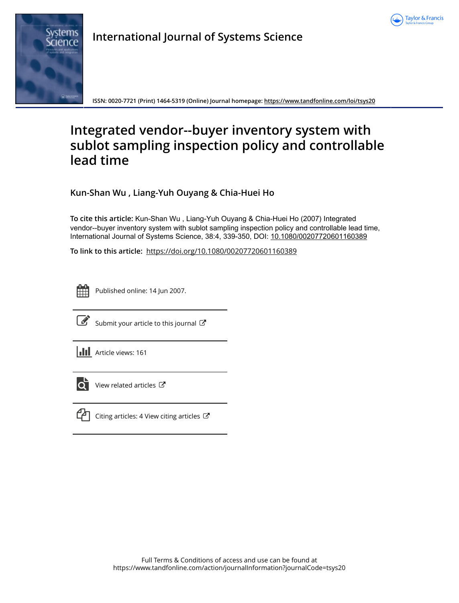



**International Journal of Systems Science**

**ISSN: 0020-7721 (Print) 1464-5319 (Online) Journal homepage:<https://www.tandfonline.com/loi/tsys20>**

# **Integrated vendor--buyer inventory system with sublot sampling inspection policy and controllable lead time**

**Kun-Shan Wu , Liang-Yuh Ouyang & Chia-Huei Ho**

**To cite this article:** Kun-Shan Wu , Liang-Yuh Ouyang & Chia-Huei Ho (2007) Integrated vendor--buyer inventory system with sublot sampling inspection policy and controllable lead time, International Journal of Systems Science, 38:4, 339-350, DOI: [10.1080/00207720601160389](https://www.tandfonline.com/action/showCitFormats?doi=10.1080/00207720601160389)

**To link to this article:** <https://doi.org/10.1080/00207720601160389>

Published online: 14 Jun 2007.



 $\overrightarrow{S}$  [Submit your article to this journal](https://www.tandfonline.com/action/authorSubmission?journalCode=tsys20&show=instructions)  $\overrightarrow{S}$ 





 $\overline{\mathbf{C}}$  [View related articles](https://www.tandfonline.com/doi/mlt/10.1080/00207720601160389)  $\mathbf{C}$ 



 $\Box$  [Citing articles: 4 View citing articles](https://www.tandfonline.com/doi/citedby/10.1080/00207720601160389#tabModule)  $\Box$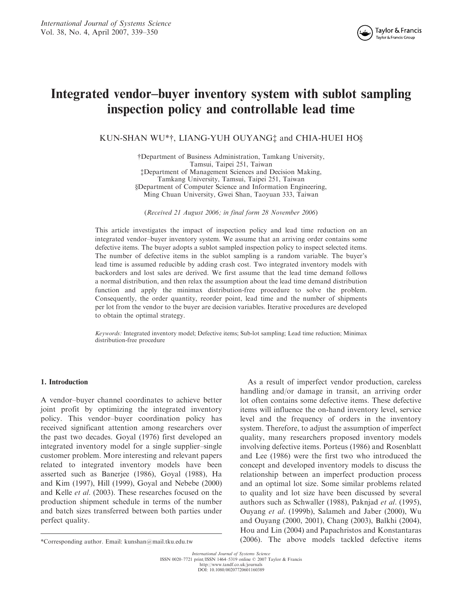## Integrated vendor–buyer inventory system with sublot sampling inspection policy and controllable lead time

KUN-SHAN WU\*†, LIANG-YUH OUYANG‡ and CHIA-HUEI HO§

yDepartment of Business Administration, Tamkang University, Tamsui, Taipei 251, Taiwan zDepartment of Management Sciences and Decision Making, Tamkang University, Tamsui, Taipei 251, Taiwan xDepartment of Computer Science and Information Engineering, Ming Chuan University, Gwei Shan, Taoyuan 333, Taiwan

(Received 21 August 2006; in final form 28 November 2006)

This article investigates the impact of inspection policy and lead time reduction on an integrated vendor–buyer inventory system. We assume that an arriving order contains some defective items. The buyer adopts a sublot sampled inspection policy to inspect selected items. The number of defective items in the sublot sampling is a random variable. The buyer's lead time is assumed reducible by adding crash cost. Two integrated inventory models with backorders and lost sales are derived. We first assume that the lead time demand follows a normal distribution, and then relax the assumption about the lead time demand distribution function and apply the minimax distribution-free procedure to solve the problem. Consequently, the order quantity, reorder point, lead time and the number of shipments per lot from the vendor to the buyer are decision variables. Iterative procedures are developed to obtain the optimal strategy.

Keywords: Integrated inventory model; Defective items; Sub-lot sampling; Lead time reduction; Minimax distribution-free procedure

## 1. Introduction

A vendor–buyer channel coordinates to achieve better joint profit by optimizing the integrated inventory policy. This vendor–buyer coordination policy has received significant attention among researchers over the past two decades. Goyal (1976) first developed an integrated inventory model for a single supplier–single customer problem. More interesting and relevant papers related to integrated inventory models have been asserted such as Banerjee (1986), Goyal (1988), Ha and Kim (1997), Hill (1999), Goyal and Nebebe (2000) and Kelle et al. (2003). These researches focused on the production shipment schedule in terms of the number and batch sizes transferred between both parties under perfect quality.

As a result of imperfect vendor production, careless handling and/or damage in transit, an arriving order lot often contains some defective items. These defective items will influence the on-hand inventory level, service level and the frequency of orders in the inventory system. Therefore, to adjust the assumption of imperfect quality, many researchers proposed inventory models involving defective items. Porteus (1986) and Rosenblatt and Lee (1986) were the first two who introduced the concept and developed inventory models to discuss the relationship between an imperfect production process and an optimal lot size. Some similar problems related to quality and lot size have been discussed by several authors such as Schwaller (1988), Paknjad et al. (1995), Ouyang et al. (1999b), Salameh and Jaber (2000), Wu and Ouyang (2000, 2001), Chang (2003), Balkhi (2004), Hou and Lin (2004) and Papachristos and Konstantaras (2006). The above models tackled defective items \*Corresponding author. Email: kunshan@mail.tku.edu.tw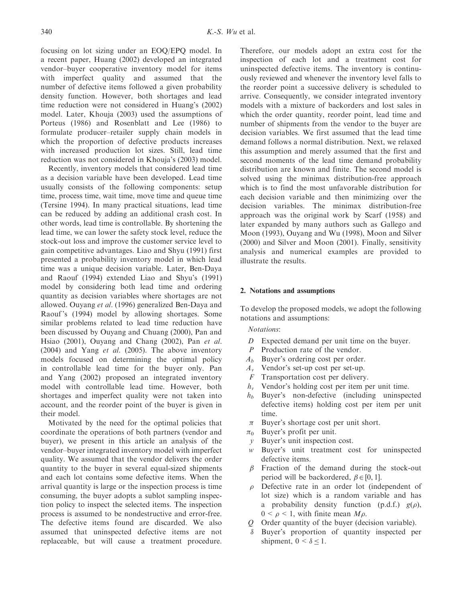focusing on lot sizing under an EOQ/EPQ model. In a recent paper, Huang (2002) developed an integrated vendor–buyer cooperative inventory model for items with imperfect quality and assumed that the number of defective items followed a given probability density function. However, both shortages and lead time reduction were not considered in Huang's (2002) model. Later, Khouja (2003) used the assumptions of Porteus (1986) and Rosenblatt and Lee (1986) to formulate producer–retailer supply chain models in which the proportion of defective products increases with increased production lot sizes. Still, lead time reduction was not considered in Khouja's (2003) model.

Recently, inventory models that considered lead time as a decision variable have been developed. Lead time usually consists of the following components: setup time, process time, wait time, move time and queue time (Tersine 1994). In many practical situations, lead time can be reduced by adding an additional crash cost. In other words, lead time is controllable. By shortening the lead time, we can lower the safety stock level, reduce the stock-out loss and improve the customer service level to gain competitive advantages. Liao and Shyu (1991) first presented a probability inventory model in which lead time was a unique decision variable. Later, Ben-Daya and Raouf (1994) extended Liao and Shyu's (1991) model by considering both lead time and ordering quantity as decision variables where shortages are not allowed. Ouyang et al. (1996) generalized Ben-Daya and Raouf 's (1994) model by allowing shortages. Some similar problems related to lead time reduction have been discussed by Ouyang and Chuang (2000), Pan and Hsiao (2001), Ouyang and Chang (2002), Pan et al. (2004) and Yang et al. (2005). The above inventory models focused on determining the optimal policy in controllable lead time for the buyer only. Pan and Yang (2002) proposed an integrated inventory model with controllable lead time. However, both shortages and imperfect quality were not taken into account, and the reorder point of the buyer is given in their model.

Motivated by the need for the optimal policies that coordinate the operations of both partners (vendor and buyer), we present in this article an analysis of the vendor–buyer integrated inventory model with imperfect quality. We assumed that the vendor delivers the order quantity to the buyer in several equal-sized shipments and each lot contains some defective items. When the arrival quantity is large or the inspection process is time consuming, the buyer adopts a sublot sampling inspection policy to inspect the selected items. The inspection process is assumed to be nondestructive and error-free. The defective items found are discarded. We also assumed that uninspected defective items are not replaceable, but will cause a treatment procedure. Therefore, our models adopt an extra cost for the inspection of each lot and a treatment cost for uninspected defective items. The inventory is continuously reviewed and whenever the inventory level falls to the reorder point a successive delivery is scheduled to arrive. Consequently, we consider integrated inventory models with a mixture of backorders and lost sales in which the order quantity, reorder point, lead time and number of shipments from the vendor to the buyer are decision variables. We first assumed that the lead time demand follows a normal distribution. Next, we relaxed this assumption and merely assumed that the first and second moments of the lead time demand probability distribution are known and finite. The second model is solved using the minimax distribution-free approach which is to find the most unfavorable distribution for each decision variable and then minimizing over the decision variables. The minimax distribution-free approach was the original work by Scarf (1958) and later expanded by many authors such as Gallego and Moon (1993), Ouyang and Wu (1998), Moon and Silver (2000) and Silver and Moon (2001). Finally, sensitivity analysis and numerical examples are provided to illustrate the results.

## 2. Notations and assumptions

To develop the proposed models, we adopt the following notations and assumptions:

## Notations:

- D Expected demand per unit time on the buyer.
- P Production rate of the vendor.
- $A_b$  Buyer's ordering cost per order.
- $A<sub>v</sub>$  Vendor's set-up cost per set-up.
- $F$  Transportation cost per delivery.
- $h<sub>v</sub>$  Vendor's holding cost per item per unit time.
- $h_b$  Buyer's non-defective (including uninspected defective items) holding cost per item per unit time.
- $\pi$  Buyer's shortage cost per unit short.
- $\pi_0$  Buyer's profit per unit.
- y Buyer's unit inspection cost.
- w Buyer's unit treatment cost for uninspected defective items.
- $\beta$  Fraction of the demand during the stock-out period will be backordered,  $\beta \in [0, 1]$ .
- $\rho$  Defective rate in an order lot (independent of lot size) which is a random variable and has a probability density function  $(p.d.f.)$   $g(\rho)$ ,  $0 \leq \rho \leq 1$ , with finite mean  $M\rho$ .
- Q Order quantity of the buyer (decision variable).
- $\delta$  Buyer's proportion of quantity inspected per shipment,  $0 < \delta < 1$ .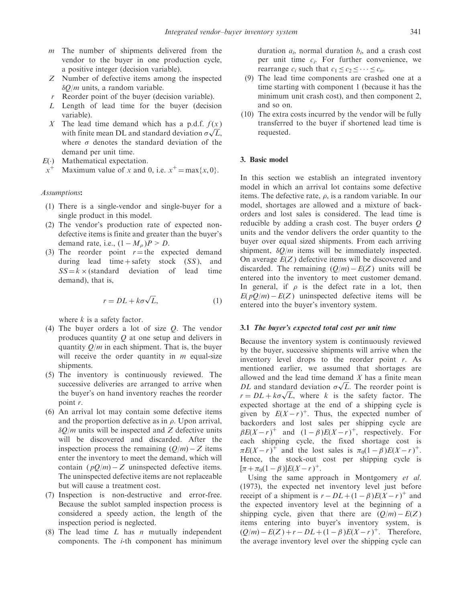- $m$  The number of shipments delivered from the vendor to the buyer in one production cycle, a positive integer (decision variable).
- Z Number of defective items among the inspected  $\delta Q/m$  units, a random variable.
- $r$  Reorder point of the buyer (decision variable).
- L Length of lead time for the buyer (decision variable).
- X The lead time demand which has a p.d.f.  $f(x)$ The lead time demand which has a p.d.i.  $f(x)$ <br>with finite mean DL and standard deviation  $\sigma\sqrt{L}$ , where  $\sigma$  denotes the standard deviation of the demand per unit time.
- $E(\cdot)$  Mathematical expectation.
- $x^+$  Maximum value of x and 0, i.e.  $x^+ = \max\{x, 0\}$ .

## Assumptions:

- (1) There is a single-vendor and single-buyer for a single product in this model.
- (2) The vendor's production rate of expected nondefective items is finite and greater than the buyer's demand rate, i.e.,  $(1 - M_{\rho})P > D$ .
- (3) The reorder point  $r =$  the expected demand during lead time + safety stock  $(SS)$ , and  $SS = k \times (standard deviation of lead time$ demand), that is,

$$
r = DL + k\sigma\sqrt{L},\tag{1}
$$

where  $k$  is a safety factor.

- (4) The buyer orders a lot of size Q. The vendor produces quantity  $Q$  at one setup and delivers in quantity  $O/m$  in each shipment. That is, the buyer will receive the order quantity in  $m$  equal-size shipments.
- (5) The inventory is continuously reviewed. The successive deliveries are arranged to arrive when the buyer's on hand inventory reaches the reorder point r.
- (6) An arrival lot may contain some defective items and the proportion defective as in  $\rho$ . Upon arrival,  $\delta O/m$  units will be inspected and Z defective units will be discovered and discarded. After the inspection process the remaining  $(Q/m) - Z$  items enter the inventory to meet the demand, which will contain  $(pQ/m) - Z$  uninspected defective items. The uninspected defective items are not replaceable but will cause a treatment cost.
- (7) Inspection is non-destructive and error-free. Because the sublot sampled inspection process is considered a speedy action, the length of the inspection period is neglected.
- (8) The lead time  $L$  has  $n$  mutually independent components. The i-th component has minimum

duration  $a_i$ , normal duration  $b_i$ , and a crash cost per unit time  $c_i$ . For further convenience, we rearrange  $c_i$  such that  $c_1 \leq c_2 \leq \cdots \leq c_n$ .

- (9) The lead time components are crashed one at a time starting with component 1 (because it has the minimum unit crash cost), and then component 2, and so on.
- (10) The extra costs incurred by the vendor will be fully transferred to the buyer if shortened lead time is requested.

## 3. Basic model

In this section we establish an integrated inventory model in which an arrival lot contains some defective items. The defective rate,  $\rho$ , is a random variable. In our model, shortages are allowed and a mixture of backorders and lost sales is considered. The lead time is reducible by adding a crash cost. The buyer orders Q units and the vendor delivers the order quantity to the buyer over equal sized shipments. From each arriving shipment,  $\delta Q/m$  items will be immediately inspected. On average  $E(Z)$  defective items will be discovered and discarded. The remaining  $(Q/m) - E(Z)$  units will be entered into the inventory to meet customer demand. In general, if  $\rho$  is the defect rate in a lot, then  $E(pQ/m) - E(Z)$  uninspected defective items will be entered into the buyer's inventory system.

#### 3.1 The buyer's expected total cost per unit time

Because the inventory system is continuously reviewed by the buyer, successive shipments will arrive when the inventory level drops to the reorder point  $r$ . As mentioned earlier, we assumed that shortages are allowed and the lead time demand  $X$  has a finite mean allowed and the lead time demand X has a finite mean  $DL$  and standard deviation  $\sigma\sqrt{L}$ . The reorder point is  $DL$  and standard deviation  $\sigma\sqrt{L}$ . The reorder point is  $r = DL + k\sigma\sqrt{L}$ , where k is the safety factor. The expected shortage at the end of a shipping cycle is given by  $E(X - r)^+$ . Thus, the expected number of backorders and lost sales per shipping cycle are  $\beta E(X - r)^+$  and  $(1 - \beta)E(X - r)^+$ , respectively. For each shipping cycle, the fixed shortage cost is  $\pi E(X - r)^+$  and the lost sales is  $\pi_0(1 - \beta)E(X - r)^+$ . Hence, the stock-out cost per shipping cycle is  $[\pi + \pi_0(1 - \beta)]E(X - r)^+$ .

Using the same approach in Montgomery et al. (1973), the expected net inventory level just before receipt of a shipment is  $r - DL + (1 - \beta)E(X - r)^{+}$  and the expected inventory level at the beginning of a shipping cycle, given that there are  $(Q/m) - E(Z)$ items entering into buyer's inventory system, is  $(Q/m) - E(Z) + r - DL + (1 - \beta)E(X - r)^{\dagger}$ . Therefore, the average inventory level over the shipping cycle can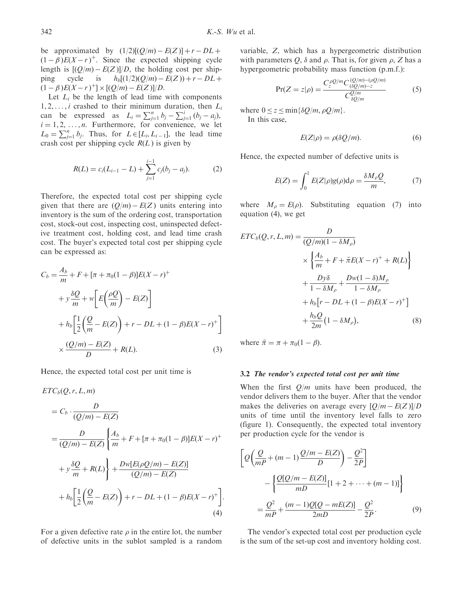be approximated by  $(1/2)[(Q/m) - E(Z)] + r - DL +$  $(1 - \beta)E(X - r)^{+}$ . Since the expected shipping cycle length is  $[(Q/m) - E(Z)]/D$ , the holding cost per shipping cycle is  $h_b[(1/2)(Q/m) - E(Z)) + r - DL +$  $(1 - \beta)E(X - r)^{+} \times [(Q/m) - E(Z)]/D.$ 

Let  $L_i$  be the length of lead time with components  $1, 2, \ldots, i$  crashed to their minimum duration, then  $L_i$ can be expressed as  $L_i = \sum_{j=1}^{n} b_j - \sum_{j=1}^{i} (b_j - a_j)$ ,  $i = 1, 2, \ldots, n$ . Furthermore, for convenience, we let  $L_0 = \sum_{j=1}^n b_j$ . Thus, for  $L \in [L_i, L_{i-1}]$ , the lead time crash cost per shipping cycle  $R(L)$  is given by

$$
R(L) = c_i(L_{i-1} - L) + \sum_{j=1}^{i-1} c_j(b_j - a_j).
$$
 (2)

Therefore, the expected total cost per shipping cycle given that there are  $(Q/m) - E(Z)$  units entering into inventory is the sum of the ordering cost, transportation cost, stock-out cost, inspecting cost, uninspected defective treatment cost, holding cost, and lead time crash cost. The buyer's expected total cost per shipping cycle can be expressed as:

$$
C_b = \frac{A_b}{m} + F + [\pi + \pi_0 (1 - \beta)] E(X - r)^+
$$
  
+  $y \frac{\delta Q}{m} + w \left[ E \left( \frac{\rho Q}{m} \right) - E(Z) \right]$   
+  $h_b \left[ \frac{1}{2} \left( \frac{Q}{m} - E(Z) \right) + r - DL + (1 - \beta) E(X - r)^+ \right]$   
 $\times \frac{(Q/m) - E(Z)}{D} + R(L).$  (3)

Hence, the expected total cost per unit time is

$$
ETC_b(Q, r, L, m)
$$
  
=  $C_b \cdot \frac{D}{(Q/m) - E(Z)}$   
=  $\frac{D}{(Q/m) - E(Z)} \left\{ \frac{A_b}{m} + F + [\pi + \pi_0 (1 - \beta)] E(X - r)^+ + y \frac{\delta Q}{m} + R(L) \right\} + \frac{Dw[E(\rho Q/m) - E(Z)]}{(Q/m) - E(Z)}$   
+  $h_b \left[ \frac{1}{2} \left( \frac{Q}{m} - E(Z) \right) + r - DL + (1 - \beta) E(X - r)^+ \right].$  (4)

For a given defective rate  $\rho$  in the entire lot, the number of defective units in the sublot sampled is a random variable, Z, which has a hypergeometric distribution with parameters  $Q$ ,  $\delta$  and  $\rho$ . That is, for given  $\rho$ , Z has a hypergeometric probability mass function (p.m.f.):

$$
Pr(Z = z | \rho) = \frac{C_2^{\rho Q/m} C_{(\delta Q/m) - z}^{(Q/m) - (\rho Q/m)}}{C_{\delta Q/m}^{Q/m}}
$$
(5)

where  $0 \le z \le \min{\{\delta Q/m, \rho Q/m\}}$ .

In this case,

$$
E(Z|\rho) = \rho(\delta Q/m). \tag{6}
$$

Hence, the expected number of defective units is

$$
E(Z) = \int_0^1 E(Z|\rho)g(\rho)d\rho = \frac{\delta M_\rho Q}{m},\tag{7}
$$

where  $M_{\rho} = E(\rho)$ . Substituting equation (7) into equation (4), we get

$$
ETC_b(Q, r, L, m) = \frac{D}{(Q/m)(1 - \delta M_\rho)}
$$
  
 
$$
\times \left\{ \frac{A_b}{m} + F + \bar{\pi}E(X - r)^+ + R(L) \right\}
$$
  
 
$$
+ \frac{D\gamma\delta}{1 - \delta M_\rho} + \frac{Dw(1 - \delta)M_\rho}{1 - \delta M_\rho}
$$
  
 
$$
+ h_b[r - DL + (1 - \beta)E(X - r)^+]
$$
  
 
$$
+ \frac{h_bQ}{2m}(1 - \delta M_\rho), \qquad (8)
$$

where  $\bar{\pi} = \pi + \pi_0(1 - \beta)$ .

#### 3.2 The vendor's expected total cost per unit time

When the first  $Q/m$  units have been produced, the vendor delivers them to the buyer. After that the vendor makes the deliveries on average every  $[Q/m - E(Z)]/D$ units of time until the inventory level falls to zero (figure 1). Consequently, the expected total inventory per production cycle for the vendor is

$$
\left[Q\left(\frac{Q}{mP} + (m-1)\frac{Q/m - E(Z)}{D}\right) - \frac{Q^2}{2P}\right] - \left\{\frac{Q[Q/m - E(Z)]}{mD}[1 + 2 + \dots + (m-1)]\right\}
$$

$$
= \frac{Q^2}{mP} + \frac{(m-1)Q[Q - mE(Z)]}{2mD} - \frac{Q^2}{2P}.
$$
(9)

The vendor's expected total cost per production cycle is the sum of the set-up cost and inventory holding cost.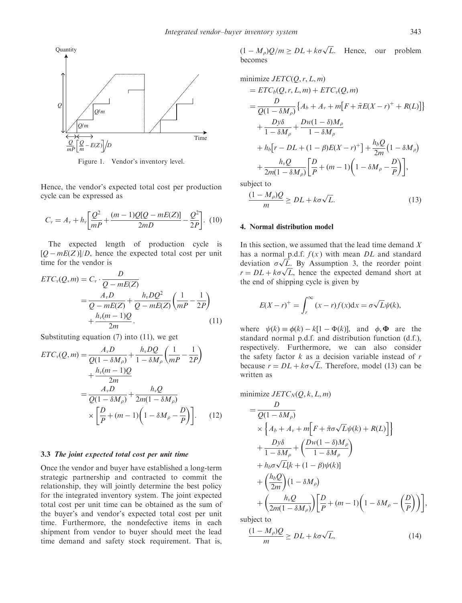

Figure 1. Vendor's inventory level.

Hence, the vendor's expected total cost per production cycle can be expressed as

$$
C_v = A_v + h_v \left[ \frac{Q^2}{mP} + \frac{(m-1)Q[Q - mE(Z)]}{2mD} - \frac{Q^2}{2P} \right]. \tag{10}
$$

The expected length of production cycle is  $[Q - mE(Z)]/D$ , hence the expected total cost per unit time for the vendor is

$$
ETC_v(Q,m) = C_v \cdot \frac{D}{Q - mE(Z)}
$$
  
= 
$$
\frac{A_v D}{Q - mE(Z)} + \frac{h_v DQ^2}{Q - mE(Z)} \left(\frac{1}{mP} - \frac{1}{2P}\right)
$$
  
+ 
$$
\frac{h_v(m-1)Q}{2m}.
$$
 (11)

Substituting equation (7) into (11), we get

$$
ETC_{v}(Q,m) = \frac{A_{v}D}{Q(1 - \delta M_{\rho})} + \frac{h_{v}DQ}{1 - \delta M_{\rho}} \left(\frac{1}{mP} - \frac{1}{2P}\right) + \frac{h_{v}(m-1)Q}{2m} = \frac{A_{v}D}{Q(1 - \delta M_{\rho})} + \frac{h_{v}Q}{2m(1 - \delta M_{\rho})} \times \left[\frac{D}{P} + (m-1)\left(1 - \delta M_{\rho} - \frac{D}{P}\right)\right].
$$
 (12)

## 3.3 The joint expected total cost per unit time

Once the vendor and buyer have established a long-term strategic partnership and contracted to commit the relationship, they will jointly determine the best policy for the integrated inventory system. The joint expected total cost per unit time can be obtained as the sum of the buyer's and vendor's expected total cost per unit time. Furthermore, the nondefective items in each shipment from vendor to buyer should meet the lead time demand and safety stock requirement. That is,

 $(1 - M_{\rho})Q/m \ge DL + k\sigma\sqrt{L}$ . Hence, our problem becomes

minimize 
$$
JETC(Q, r, L, m)
$$
  
\n
$$
=ETC_b(Q, r, L, m) + ETC_v(Q, m)
$$
\n
$$
= \frac{D}{Q(1 - \delta M_\rho)} \{A_b + A_v + m[F + \bar{\pi}E(X - r)^+ + R(L)]\}
$$
\n
$$
+ \frac{Dy\delta}{1 - \delta M_\rho} + \frac{Dw(1 - \delta)M_\rho}{1 - \delta M_\rho}
$$
\n
$$
+ h_b[r - DL + (1 - \beta)E(X - r)^+] + \frac{h_bQ}{2m}(1 - \delta M_\rho)
$$
\n
$$
+ \frac{h_vQ}{2m(1 - \delta M_\rho)} \left[\frac{D}{P} + (m - 1)\left(1 - \delta M_\rho - \frac{D}{P}\right)\right],
$$
\nsubject to

$$
\frac{(1 - M_{\rho})Q}{m} \ge DL + k\sigma\sqrt{L}.
$$
 (13)

## 4. Normal distribution model

In this section, we assumed that the lead time demand  $X$ has a normal p.d.f.  $f(x)$  with mean DL and standard has a normal p.d.l.  $f(x)$  with mean  $DL$  and standard deviation  $\sigma\sqrt{L}$ . By Assumption 3, the reorder point deviation  $\sigma \sqrt{L}$ , by Assumption 5, the reorder point  $r = DL + k\sigma\sqrt{L}$ , hence the expected demand short at the end of shipping cycle is given by

$$
E(X - r)^{+} = \int_{r}^{\infty} (x - r) f(x) dx = \sigma \sqrt{L} \psi(k),
$$

where  $\psi(k) \equiv \phi(k) - k[1 - \Phi(k)]$ , and  $\phi$ ,  $\Phi$  are the standard normal p.d.f. and distribution function (d.f.), respectively. Furthermore, we can also consider the safety factor  $k$  as a decision variable instead of  $r$ the safety factor  $\kappa$  as a decision variable instead of r<br>because  $r = DL + k\sigma\sqrt{L}$ . Therefore, model (13) can be written as

$$
\text{minimize } JETC_N(Q, k, L, m)
$$

$$
= \frac{D}{Q(1 - \delta M_{\rho})}
$$
  
\n
$$
\times \left\{ A_b + A_v + m \left[ F + \bar{\pi}\sigma\sqrt{L}\psi(k) + R(L) \right] \right\}
$$
  
\n
$$
+ \frac{D\gamma\delta}{1 - \delta M_{\rho}} + \left( \frac{Dw(1 - \delta)M_{\rho}}{1 - \delta M_{\rho}} \right)
$$
  
\n
$$
+ h_b \sigma\sqrt{L}[k + (1 - \beta)\psi(k)]
$$
  
\n
$$
+ \left( \frac{h_b Q}{2m}(1 - \delta M_{\rho}) \right) \left[ \frac{D}{P} + (m - 1)\left(1 - \delta M_{\rho} - \left(\frac{D}{P}\right)\right) \right]
$$

subject to

$$
\frac{(1 - M_{\rho})Q}{m} \ge DL + k\sigma\sqrt{L},\tag{14}
$$

,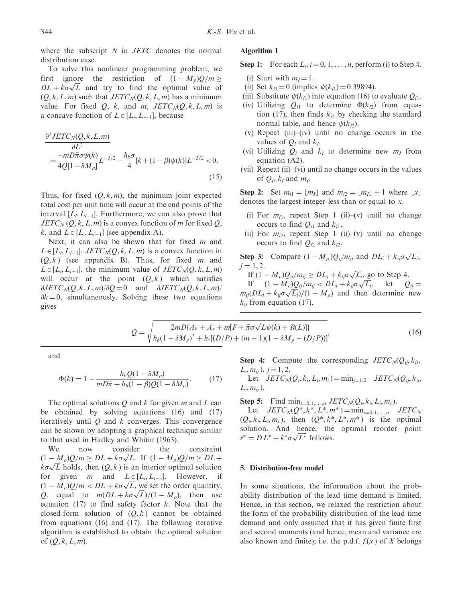where the subscript  $N$  in  $JETC$  denotes the normal distribution case.

To solve this nonlinear programming problem, we first ignore the restriction of  $(1 - M<sub>o</sub>)Q/m >$ The definition of  $(1 - M_{\rho})Q/m \ge D L + k\sigma\sqrt{L}$  and try to find the optimal value of  $(Q, k, L, m)$  such that  $JETC<sub>N</sub>(Q, k, L, m)$  has a minimum value. For fixed Q, k, and m,  $JETC<sub>N</sub>(Q, k, L, m)$  is a concave function of  $L \in [L_i, L_{i-1}]$ , because

$$
\frac{\partial^2 JETC_N(Q, k, L, m)}{\partial L^2} = \frac{-mD\bar{\pi}\sigma\psi(k)}{4Q[1 - \delta M_\rho]} L^{-3/2} - \frac{h_b\sigma}{4}[k + (1 - \beta)\psi(k)]L^{-3/2} < 0. \tag{15}
$$

Thus, for fixed  $(Q, k, m)$ , the minimum joint expected total cost per unit time will occur at the end points of the interval  $[L_i, L_{i-1}]$ . Furthermore, we can also prove that  $JETC<sub>N</sub>(Q, k, L, m)$  is a convex function of m for fixed Q, k, and  $L \in [L_i, L_{i-1}]$  (see appendix A).

Next, it can also be shown that for fixed  $m$  and  $L \in [L_i, L_{i-1}],$  JETC<sub>N</sub> $(Q, k, L, m)$  is a convex function in  $(Q, k)$  (see appendix B). Thus, for fixed m and  $L \in [L_i, L_{i-1}]$ , the minimum value of  $JETC_N(Q, k, L, m)$ will occur at the point  $(0, k)$  which satisfies  $\partial JETC_N(Q, k, L, m)/\partial Q = 0$  and  $\partial JETC_N(Q, k, L, m)/$  $\partial k = 0$ , simultaneously. Solving these two equations gives

## Algorithm 1

Step 1: For each  $L_i$ ,  $i = 0, 1, \ldots, n$ , perform (i) to Step 4.

- (i) Start with  $m_l = 1$ .
- (ii) Set  $k_{i1} = 0$  (implies  $\psi(k_{i1}) = 0.39894$ ).
- (iii) Substitute  $\psi(k_{i1})$  into equation (16) to evaluate  $Q_{i1}$ .
- (iv) Utilizing  $Q_{i1}$  to determine  $\Phi(k_{i2})$  from equation (17), then finds  $k_{i2}$  by checking the standard normal table, and hence  $\psi(k_{i2})$ .
- (v) Repeat (iii)–(iv) until no change occurs in the values of  $O_i$  and  $k_i$ .
- (vi) Utilizing  $Q_i$  and  $k_i$  to determine new  $m_I$  from equation (A2).
- (vii) Repeat (ii)–(vi) until no change occurs in the values of  $Q_i$ ,  $k_i$  and  $m_I$ .

Step 2: Set  $m_{i1} = \lfloor m_I \rfloor$  and  $m_{i2} = \lfloor m_I \rfloor + 1$  where  $\lfloor x \rfloor$ denotes the largest integer less than or equal to x.

- (i) For  $m_{i1}$ , repeat Step 1 (ii)–(v) until no change occurs to find  $Q_{i1}$  and  $k_{i1}$ .
- (ii) For  $m_{i2}$ , repeat Step 1 (ii)–(v) until no change occurs to find  $Q_{i2}$  and  $k_{i2}$ .

**Step 3:** Compare  $(1 - M_{\rho})Q_{ij}/m_{ij}$  and  $DL_i + k_{ij}\sigma\sqrt{L_i}$ ,  $j = 1, 2.$ 

If  $(1 - M_{\rho})Q_{ij}/m_{ij} \ge DL_i + k_{ij}\sigma\sqrt{L_i}$ , go to Step 4. If  $(1 - M_{\rho})Q_{ij}/m_{ij} \ge DL_i + \kappa_{ij}\sigma\sqrt{L_i}$ , go to step 4.<br>If  $(1 - M_{\rho})Q_{ij}/m_{ij} < DL_i + k_{ij}\sigma\sqrt{L_i}$ , let  $Q_{ij} =$ if  $(1 - M_\rho) Q_{ij} / m_{ij} < D L_i + \kappa_{ij} \sigma \sqrt{L_i}$ <br>  $m_{ij}(DL_i + k_{ij} \sigma \sqrt{L_i}) / (1 - M_\rho)$  and then determine new  $k_{ij}$  from equation (17).

$$
Q = \sqrt{\frac{2mD\{A_b + A_v + m[F + \bar{\pi}\sigma\sqrt{L}\psi(k) + R(L)]\}}{h_b(1 - \delta M_\rho)^2 + h_v[(D/P) + (m - 1)(1 - \delta M_\rho - (D/P))]}}},
$$
(16)

and

$$
\Phi(k) = 1 - \frac{h_b Q (1 - \delta M_\rho)}{m D \bar{\pi} + h_b (1 - \beta) Q (1 - \delta M_\rho)}.
$$
 (17)

The optimal solutions  $O$  and  $k$  for given m and  $L$  can be obtained by solving equations (16) and (17) iteratively until  $Q$  and  $k$  converges. This convergence can be shown by adopting a graphical technique similar to that used in Hadley and Whitin (1963).

We now consider the constraint we now consider the constraint<br>  $(1 - M_{\rho})Q/m \ge DL + k\sigma\sqrt{L}$ . If  $(1 - M_{\rho})Q/m \ge DL +$  $\frac{(1 - M_{\rho})Q}{m} \geq DL + \kappa \sigma \sqrt{L}$ . If  $\frac{(1 - M_{\rho})Q}{m} \geq DL + \kappa \sigma \sqrt{L}$  holds, then  $(Q, k)$  is an interior optimal solution for given *m* and  $L \in [L_i, L_{i-1}]$ . However, if for given *m* and  $L \in [L_i, L_{i-1}]$ . However, if  $(1 - M_\rho)Q/m < D L + k\sigma\sqrt{L}$ , we set the order quantity,  $(1 - M_{\rho})Q/m < D_{\rho} + \kappa \sigma \sqrt{L}$ , we set the order quantity,<br>Q, equal to  $m(D_{\rho} + k\sigma \sqrt{L})/(1 - M_{\rho})$ , then use equation (17) to find safety factor  $k$ . Note that the closed-form solution of  $(Q, k)$  cannot be obtained from equations (16) and (17). The following iterative algorithm is established to obtain the optimal solution of  $(Q, k, L, m)$ .

**Step 4:** Compute the corresponding  $JETC_N(Q_{ii}, k_{ii})$  $L_i, m_{ii}$ ,  $j = 1, 2$ .

Let  $JETC_N(Q_i, k_i, L_i, m_i) = \min_{j=1,2} JETC_N(Q_{ii}, k_{ii},$  $L_i, m_{ii}$ ).

Step 5: Find  $\min_{i=0,1,\ldots,n} JETC_N(Q_i, k_i, L_i, m_i)$ .

Let  $JETC_N(Q^*, k^*, L^*, m^*) = \min_{i=0,1,...,n} JETC_N$  $(Q_i, k_i, L_i, m_i)$ , then  $(Q^*, k^*, L^*, m^*)$  is the optimal solution. And hence, the optimal reorder point solution. And hence, the<br>  $r^* = D L^* + k^* \sigma \sqrt{L^*}$  follows.

#### 5. Distribution-free model

In some situations, the information about the probability distribution of the lead time demand is limited. Hence, in this section, we relaxed the restriction about the form of the probability distribution of the lead time demand and only assumed that it has given finite first and second moments (and hence, mean and variance are also known and finite); i.e. the p.d.f.  $f(x)$  of X belongs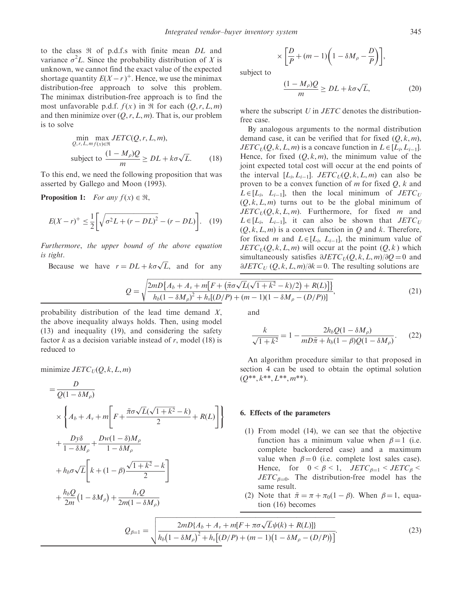to the class  $\Re$  of p.d.f.s with finite mean DL and variance  $\sigma^2 L$ . Since the probability distribution of X is unknown, we cannot find the exact value of the expected shortage quantity  $E(X - r)^+$ . Hence, we use the minimax distribution-free approach to solve this problem. The minimax distribution-free approach is to find the most unfavorable p.d.f.  $f(x)$  in  $\Re$  for each  $(Q, r, L, m)$ and then minimize over  $(Q, r, L, m)$ . That is, our problem is to solve

$$
\min_{Q,r,L,mf(x)\in\mathfrak{R}} \max_{\mathcal{D}} JETC(Q,r,L,m),
$$
\n
$$
\text{subject to } \frac{(1 - M_{\rho})Q}{m} \ge DL + k\sigma\sqrt{L}. \tag{18}
$$

To this end, we need the following proposition that was asserted by Gallego and Moon (1993).

**Proposition 1:** For any  $f(x) \in \mathbb{R}$ ,

$$
E(X - r)^{+} \le \frac{1}{2} \left[ \sqrt{\sigma^2 L + (r - DL)^2} - (r - DL) \right]. \quad (19)
$$

Furthermore, the upper bound of the above equation is tight.

Because we have  $r = DL + k\sigma\sqrt{L}$ , and for any

$$
\times \left[\frac{D}{P} + (m-1)\left(1 - \delta M_{\rho} - \frac{D}{P}\right)\right],
$$

subject to

$$
\frac{(1 - M_{\rho})Q}{m} \ge DL + k\sigma\sqrt{L},\tag{20}
$$

where the subscript  $U$  in  $JETC$  denotes the distributionfree case.

By analogous arguments to the normal distribution demand case, it can be verified that for fixed  $(0, k, m)$ ,  $JETC<sub>U</sub>(Q, k, L, m)$  is a concave function in  $L \in [L_i, L_{i-1}].$ Hence, for fixed  $(0, k, m)$ , the minimum value of the joint expected total cost will occur at the end points of the interval  $[L_i, L_{i-1}]$ .  $JETC_U(Q, k, L, m)$  can also be proven to be a convex function of  $m$  for fixed  $Q$ ,  $k$  and  $L \in [L_i, L_{i-1}]$ , then the local minimum of  $JETC_U$  $(Q, k, L, m)$  turns out to be the global minimum of  $JETC<sub>U</sub>(Q, k, L, m)$ . Furthermore, for fixed *m* and  $L \in [L_i, L_{i-1}],$  it can also be shown that  $JETC_U$  $(Q, k, L, m)$  is a convex function in Q and k. Therefore, for fixed *m* and  $L \in [L_i, L_{i-1}]$ , the minimum value of  $JETC<sub>U</sub>(Q, k, L, m)$  will occur at the point  $(Q, k)$  which simultaneously satisfies  $\partial JETC_U(Q, k, L, m)/\partial Q = 0$  and  $\partial JETC_U (Q, k, L, m)/\partial k = 0$ . The resulting solutions are

$$
Q = \sqrt{\frac{2mD{A_b + A_v + m[F + (\bar{\pi}\sigma\sqrt{L}(\sqrt{1 + k^2} - k)/2) + R(L)]}{h_b(1 - \delta M_\rho)^2 + h_v[(D/P) + (m - 1)(1 - \delta M_\rho - (D/P))]}}},
$$
\n(21)

probability distribution of the lead time demand  $X$ , the above inequality always holds. Then, using model (13) and inequality (19), and considering the safety factor k as a decision variable instead of r, model (18) is reduced to

$$
\text{minimize } JETC_U(Q, k, L, m)
$$

$$
= \frac{D}{Q(1 - \delta M_{\rho})}
$$
  
\n
$$
\times \left\{ A_b + A_v + m \left[ F + \frac{\bar{\pi}\sigma\sqrt{L}(\sqrt{1 + k^2} - k)}{2} + R(L) \right] \right\}
$$
  
\n
$$
+ \frac{D\gamma\delta}{1 - \delta M_{\rho}} + \frac{Dw(1 - \delta)M_{\rho}}{1 - \delta M_{\rho}}
$$
  
\n
$$
+ h_b\sigma\sqrt{L} \left[ k + (1 - \beta) \frac{\sqrt{1 + k^2} - k}{2} \right]
$$
  
\n
$$
+ \frac{h_b Q}{2m} (1 - \delta M_{\rho}) + \frac{h_v Q}{2m(1 - \delta M_{\rho})}
$$

and

$$
\frac{k}{\sqrt{1+k^2}} = 1 - \frac{2h_b Q(1 - \delta M_\rho)}{mD\bar{\pi} + h_b(1 - \beta)Q(1 - \delta M_\rho)}.
$$
 (22)

An algorithm procedure similar to that proposed in section 4 can be used to obtain the optimal solution  $(Q^{**}, k^{**}, L^{**}, m^{**}).$ 

## 6. Effects of the parameters

- (1) From model (14), we can see that the objective function has a minimum value when  $\beta = 1$  (i.e. complete backordered case) and a maximum value when  $\beta = 0$  (i.e. complete lost sales case). Hence, for  $0 < \beta < 1$ ,  $JETC_{\beta=1} < JETC_{\beta} <$  $JETC_{\beta=0}$ . The distribution-free model has the same result.
- (2) Note that  $\bar{\pi} = \pi + \pi_0(1 \beta)$ . When  $\beta = 1$ , equation (16) becomes

$$
Q_{\beta=1} = \sqrt{\frac{2mD\{A_b + A_v + m[F + \pi\sigma\sqrt{L}\psi(k) + R(L)]\}}{h_b(1 - \delta M_\rho)^2 + h_v[(D/P) + (m-1)(1 - \delta M_\rho - (D/P))]}}.
$$
(23)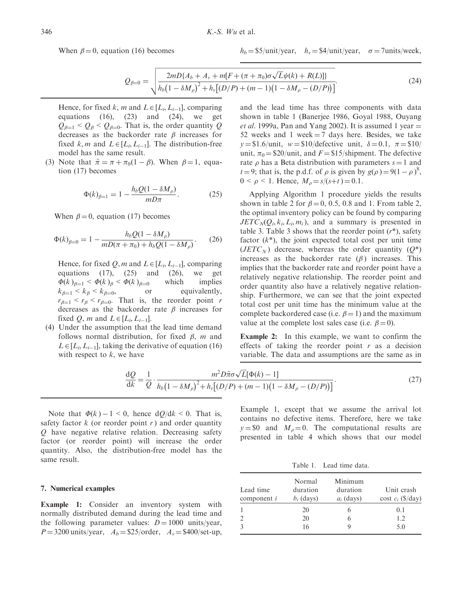When  $\beta = 0$ , equation (16) becomes

 $h_b = $5/$ unit/year,  $h_v = $4/$ unit/year,  $\sigma = 7$ units/week,

$$
Q_{\beta=0} = \sqrt{\frac{2mD\{A_b + A_v + m[F + (\pi + \pi_0)\sigma\sqrt{L}\psi(k) + R(L)]\}}{h_b(1 - \delta M_\rho)^2 + h_v[(D/P) + (m - 1)(1 - \delta M_\rho - (D/P))]}}.
$$
(24)

Hence, for fixed k, m and  $L \in [L_i, L_{i-1}]$ , comparing equations  $(16)$ ,  $(23)$  and  $(24)$ , we get  $Q_{\beta=1} < Q_{\beta} < Q_{\beta=0}$ . That is, the order quantity Q decreases as the backorder rate  $\beta$  increases for fixed k, m and  $L \in [L_i, L_{i-1}]$ . The distribution-free model has the same result.

(3) Note that  $\bar{\pi} = \pi + \pi_0(1 - \beta)$ . When  $\beta = 1$ , equation (17) becomes

$$
\Phi(k)_{\beta=1} = 1 - \frac{h_b Q (1 - \delta M_\rho)}{m D \pi}.
$$
 (25)

When  $\beta = 0$ , equation (17) becomes

$$
\Phi(k)_{\beta=0} = 1 - \frac{h_b Q (1 - \delta M_\rho)}{m D (\pi + \pi_0) + h_b Q (1 - \delta M_\rho)}.
$$
 (26)

Hence, for fixed Q, m and  $L \in [L_i, L_{i-1}]$ , comparing equations  $(17)$ ,  $(25)$  and  $(26)$ , we get  $\Phi(k)_{\beta=1} < \Phi(k)_{\beta} < \Phi(k)_{\beta}$ which implies  $k_{\beta=1} < k_{\beta} < k_{\beta}$ or equivalently,  $r_{\beta=1} < r_{\beta} < r_{\beta=0}$ . That is, the reorder point r decreases as the backorder rate  $\beta$  increases for fixed Q, m and  $L \in [L_i, L_{i-1}].$ 

(4) Under the assumption that the lead time demand follows normal distribution, for fixed  $\beta$ , m and  $L \in [L_i, L_{i-1}]$ , taking the derivative of equation (16) with respect to  $k$ , we have

and the lead time has three components with data shown in table 1 (Banerjee 1986, Goyal 1988, Ouyang *et al.* 1999a, Pan and Yang 2002). It is assumed 1 year  $=$ 52 weeks and 1 week  $=$  7 days here. Besides, we take  $y = $1.6/\text{unit}, w = $10/\text{defective unit}, \delta = 0.1, \pi = $10/\text{unit}$ unit,  $\pi_0 = \frac{$20}{\text{unit}}$ , and  $F = \frac{$15}{\text{binplement}}$ . The defective rate  $\rho$  has a Beta distribution with parameters  $s = 1$  and  $t = 9$ ; that is, the p.d.f. of  $\rho$  is given by  $g(\rho) = 9(1 - \rho)^8$ ,  $0 \leq \rho \leq 1$ . Hence,  $M_{\rho} = s/(s+t) = 0.1$ .

Applying Algorithm 1 procedure yields the results shown in table 2 for  $\beta = 0, 0.5, 0.8$  and 1. From table 2, the optimal inventory policy can be found by comparing  $JETC<sub>N</sub>(Q<sub>i</sub>, k<sub>i</sub>, L<sub>i</sub>, m<sub>i</sub>)$ , and a summary is presented in table 3. Table 3 shows that the reorder point  $(r^*)$ , safety factor  $(k^*)$ , the joint expected total cost per unit time  $(JETC<sub>N</sub>)$  decrease, whereas the order quantity  $(Q^*)$ increases as the backorder rate  $(\beta)$  increases. This implies that the backorder rate and reorder point have a relatively negative relationship. The reorder point and order quantity also have a relatively negative relationship. Furthermore, we can see that the joint expected total cost per unit time has the minimum value at the complete backordered case (i.e.  $\beta = 1$ ) and the maximum value at the complete lost sales case (i.e.  $\beta = 0$ ).

Example 2: In this example, we want to confirm the effects of taking the reorder point  $r$  as a decision variable. The data and assumptions are the same as in

$$
\frac{dQ}{dk} = \frac{1}{Q} \cdot \frac{m^2 D \bar{\pi} \sigma \sqrt{L} [\Phi(k) - 1]}{h_b (1 - \delta M_\rho)^2 + h_v [(D/P) + (m - 1)(1 - \delta M_\rho - (D/P))]}. \tag{27}
$$

Note that  $\Phi(k) - 1 \le 0$ , hence  $dO/dk \le 0$ . That is, safety factor  $k$  (or reorder point  $r$ ) and order quantity Q have negative relative relation. Decreasing safety factor (or reorder point) will increase the order quantity. Also, the distribution-free model has the same result.

## 7. Numerical examples

Example 1: Consider an inventory system with normally distributed demand during the lead time and the following parameter values:  $D = 1000$  units/year,  $P = 3200$  units/year,  $A_b = $25/$ order,  $A_v = $400/\text{set-up}$ ,

Example 1, except that we assume the arrival lot contains no defective items. Therefore, here we take  $y = $0$  and  $M<sub>0</sub> = 0$ . The computational results are presented in table 4 which shows that our model

Table 1. Lead time data.

| Lead time<br>component $i$ | Normal<br>duration<br>$b_i$ (days) | Minimum<br>duration<br>$a_i$ (days) | Unit crash<br>cost $c_i$ (\$/day) |
|----------------------------|------------------------------------|-------------------------------------|-----------------------------------|
|                            | 20                                 |                                     | 0.1                               |
|                            | 20                                 |                                     | 1.2.                              |
|                            | 16                                 |                                     | 5.0                               |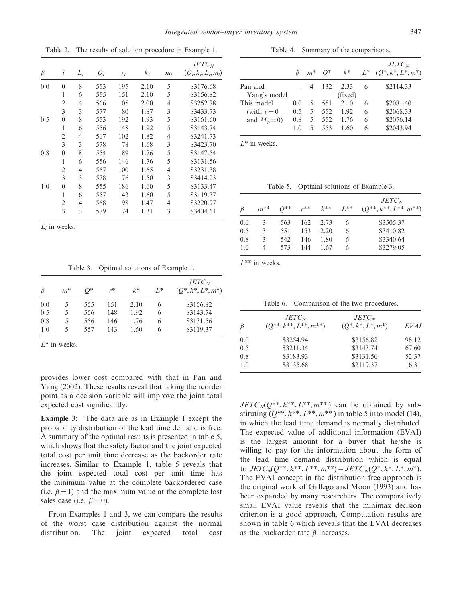$JETC_N$  $\beta$  $i$   $L_i$   $Q_i$   $r_i$   $k_i$   $m_i$   $(Q_i, k_i, L_i, m_i)$ 0.0 0 8 553 195 2.10 5 \$3176.68 1 6 555 151 2.10 5 \$3156.82 2 4 566 105 2.00 4 \$3252.78 3 3 577 80 1.87 3 \$3433.73 0.5 0 8 553 192 1.93 5 \$3161.60 1 6 556 148 1.92 5 \$3143.74 2 4 567 102 1.82 4 \$3241.73 3 3 578 78 1.68 3 \$3423.70 0.8 0 8 554 189 1.76 5 \$3147.54 1 6 556 146 1.76 5 \$3131.56 2 4 567 100 1.65 4 \$3231.38 3 3 578 76 1.50 3 \$3414.23 1.0 0 8 555 186 1.60 5 \$3133.47 1 6 557 143 1.60 5 \$3119.37 2 4 568 98 1.47 4 \$3220.97 3 3 579 74 1.31 3 \$3404.61

Table 2. The results of solution procedure in Example 1.

 $L_i$  in weeks.

Table 3. Optimal solutions of Example 1.

| $\beta$ | $m^*$ | 0*  | $r^*$ | $k^*$ | $L^*$ | $JETC_N$<br>$(Q^*, k^*, L^*, m^*)$ |
|---------|-------|-----|-------|-------|-------|------------------------------------|
| 0.0     |       | 555 | 151   | 2.10  | 6     | \$3156.82                          |
| 0.5     | 5     | 556 | 148   | 1.92  | 6     | \$3143.74                          |
| 0.8     | 5     | 556 | 146   | 1.76  | 6     | \$3131.56                          |
| 1.0     |       | 557 | 143   | 1.60  | 6     | \$3119.37                          |

 $L^*$  in weeks.

provides lower cost compared with that in Pan and Yang (2002). These results reveal that taking the reorder point as a decision variable will improve the joint total expected cost significantly.

Example 3: The data are as in Example 1 except the probability distribution of the lead time demand is free. A summary of the optimal results is presented in table 5, which shows that the safety factor and the joint expected total cost per unit time decrease as the backorder rate increases. Similar to Example 1, table 5 reveals that the joint expected total cost per unit time has the minimum value at the complete backordered case (i.e.  $\beta = 1$ ) and the maximum value at the complete lost sales case (i.e.  $\beta = 0$ ).

From Examples 1 and 3, we can compare the results of the worst case distribution against the normal distribution. The joint expected total cost

Table 4. Summary of the comparisons.

|                    |     |                | $\beta$ $m^*$ $Q^*$ |         |   | $JETC_N$<br>$k^*$ $L^*$ $(Q^*, k^*, L^*, m^*)$ |
|--------------------|-----|----------------|---------------------|---------|---|------------------------------------------------|
| Pan and            |     | 4              | 132                 | 2.33    | 6 | \$2114.33                                      |
| Yang's model       |     |                |                     | (fixed) |   |                                                |
| This model         | 0.0 | 5 <sup>5</sup> | 551                 | 2.10    | 6 | \$2081.40                                      |
| (with $v=0$        | 0.5 | 5 <sup>7</sup> | 552                 | 1.92    | 6 | \$2068.33                                      |
| and $M_{\rho}=0$ ) | 0.8 | 5.             | 552                 | 1.76    | 6 | \$2056.14                                      |
|                    | 1.0 | 5.             | 553                 | 1.60    | 6 | \$2043.94                                      |

 $L^*$  in weeks.

Table 5. Optimal solutions of Example 3.

| B   | $m^{**}$ | $O^{**}$ | $r^{**}$ | $k^{**}$ | $L^{**}$ | $JETC_N$<br>$(Q^{**}, k^{**}, L^{**}, m^{**})$ |
|-----|----------|----------|----------|----------|----------|------------------------------------------------|
| 0.0 | 3        | 563      | 162      | 2.73     | 6        | \$3505.37                                      |
| 0.5 | 3        | 551      | 153      | 2.20     | 6        | \$3410.82                                      |
| 0.8 | 3        | 542      | 146      | 1.80     | 6        | \$3340.64                                      |
| 1.0 | 4        | 573      | 144      | 1.67     | 6        | \$3279.05                                      |

 $L^{**}$  in weeks.

Table 6. Comparison of the two procedures.

| $\beta$ | $JETC_N$<br>$(Q^{**}, k^{**}, L^{**}, m^{**})$ | $JETC_N$<br>$(O^*, k^*, L^*, m^*)$ | EVAI  |  |
|---------|------------------------------------------------|------------------------------------|-------|--|
| 0.0     | \$3254.94                                      | \$3156.82                          | 98.12 |  |
| 0.5     | \$3211.34                                      | \$3143.74                          | 67.60 |  |
| 0.8     | \$3183.93                                      | \$3131.56                          | 52.37 |  |
| 1.0     | \$3135.68                                      | \$3119.37                          | 16.31 |  |

 $JETC_N(Q^{**}, k^{**}, L^{**}, m^{**})$  can be obtained by substituting  $(Q^{**}, k^{**}, L^{**}, m^{**})$  in table 5 into model (14), in which the lead time demand is normally distributed. The expected value of additional information (EVAI) is the largest amount for a buyer that he/she is willing to pay for the information about the form of the lead time demand distribution which is equal to  $JETC_NQ^{**}, k^{**}, L^{**}, m^{**}) - JETC_NQ^*, k^*, L^*, m^*$ . The EVAI concept in the distribution free approach is the original work of Gallego and Moon (1993) and has been expanded by many researchers. The comparatively small EVAI value reveals that the minimax decision criterion is a good approach. Computation results are shown in table 6 which reveals that the EVAI decreases as the backorder rate  $\beta$  increases.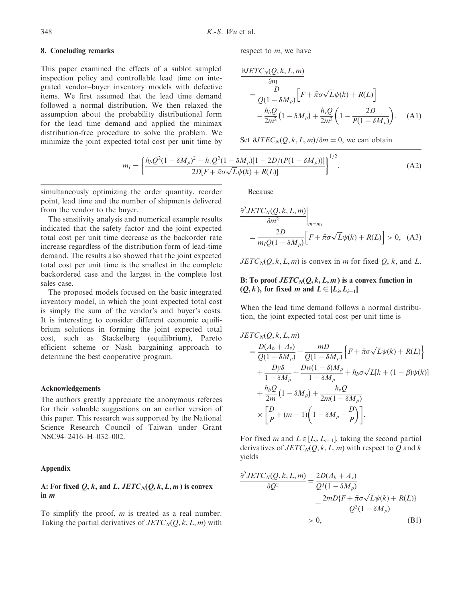## 8. Concluding remarks

This paper examined the effects of a sublot sampled inspection policy and controllable lead time on integrated vendor–buyer inventory models with defective items. We first assumed that the lead time demand followed a normal distribution. We then relaxed the assumption about the probability distributional form for the lead time demand and applied the minimax distribution-free procedure to solve the problem. We minimize the joint expected total cost per unit time by

respect to m, we have

$$
\frac{\partial JETC_N(Q, k, L, m)}{\partial m}
$$
\n
$$
= \frac{D}{Q(1 - \delta M_\rho)} \Big[ F + \bar{\pi}\sigma\sqrt{L}\psi(k) + R(L) \Big]
$$
\n
$$
- \frac{h_b Q}{2m^2} (1 - \delta M_\rho) + \frac{h_v Q}{2m^2} \left( 1 - \frac{2D}{P(1 - \delta M_\rho)} \right). \quad (A1)
$$

Set  $\partial JTEC_N(Q, k, L, m)/\partial m = 0$ , we can obtain

$$
m_{I} = \left\{ \frac{h_b Q^2 (1 - \delta M_{\rho})^2 - h_v Q^2 (1 - \delta M_{\rho}) [1 - 2D/(P(1 - \delta M_{\rho}))]}{2D[F + \bar{\pi}\sigma\sqrt{L}\psi(k) + R(L)]} \right\}^{1/2}.
$$
 (A2)

simultaneously optimizing the order quantity, reorder point, lead time and the number of shipments delivered from the vendor to the buyer.

The sensitivity analysis and numerical example results indicated that the safety factor and the joint expected total cost per unit time decrease as the backorder rate increase regardless of the distribution form of lead-time demand. The results also showed that the joint expected total cost per unit time is the smallest in the complete backordered case and the largest in the complete lost sales case.

The proposed models focused on the basic integrated inventory model, in which the joint expected total cost is simply the sum of the vendor's and buyer's costs. It is interesting to consider different economic equilibrium solutions in forming the joint expected total cost, such as Stackelberg (equilibrium), Pareto efficient scheme or Nash bargaining approach to determine the best cooperative program.

#### Acknowledgements

The authors greatly appreciate the anonymous referees for their valuable suggestions on an earlier version of this paper. This research was supported by the National Science Research Council of Taiwan under Grant NSC94–2416–H–032–002.

## Appendix

## A: For fixed  $Q, k$ , and  $L, JETC<sub>N</sub>(Q, k, L, m)$  is convex in m

To simplify the proof,  $m$  is treated as a real number. Taking the partial derivatives of  $JETC<sub>N</sub>(Q, k, L, m)$  with Because

$$
\frac{\partial^2 JETC_N(Q, k, L, m)}{\partial m^2} \Big|_{m=m_I}
$$
  
= 
$$
\frac{2D}{m_I Q (1 - \delta M_\rho)} \Big[ F + \bar{\pi} \sigma \sqrt{L} \psi(k) + R(L) \Big] > 0, \quad (A3)
$$

 $JETC<sub>N</sub>(Q, k, L, m)$  is convex in m for fixed Q, k, and L.

## B: To proof  $JETC<sub>N</sub>(Q, k, L, m)$  is a convex function in  $(Q, k)$ , for fixed *m* and  $L \in [L_i, L_{i-1}]$

When the lead time demand follows a normal distribution, the joint expected total cost per unit time is

$$
JETC_N(Q, k, L, m)
$$
  
=  $\frac{D(A_b + A_v)}{Q(1 - \delta M_\rho)} + \frac{mD}{Q(1 - \delta M_\rho)} \Big\{ F + \bar{\pi}\sigma\sqrt{L}\psi(k) + R(L) \Big\}$   
+  $\frac{Dy\delta}{1 - \delta M_\rho} + \frac{Dw(1 - \delta)M_\rho}{1 - \delta M_\rho} + h_b\sigma\sqrt{L}[k + (1 - \beta)\psi(k)]$   
+  $\frac{h_bQ}{2m}(1 - \delta M_\rho) + \frac{h_vQ}{2m(1 - \delta M_\rho)}$   
 $\times \Big[ \frac{D}{P} + (m - 1)\Big(1 - \delta M_\rho - \frac{D}{P}\Big) \Big].$ 

For fixed *m* and  $L \in [L_i, L_{i-1}]$ , taking the second partial derivatives of  $JETC_N(Q, k, L, m)$  with respect to Q and k yields

$$
\frac{\partial^2 JETC_N(Q, k, L, m)}{\partial Q^2} = \frac{2D(A_b + A_v)}{Q^3(1 - \delta M_\rho)} + \frac{2mD\{F + \bar{\pi}\sigma\sqrt{L}\psi(k) + R(L)\}}{Q^3(1 - \delta M_\rho)} > 0,
$$
\n(B1)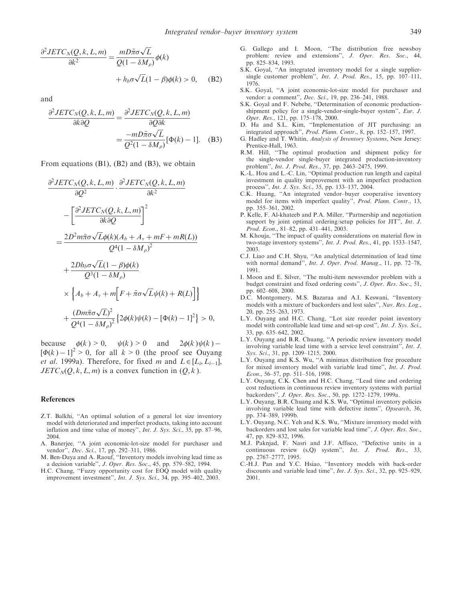$$
\frac{\partial^2 JETC_N(Q, k, L, m)}{\partial k^2} = \frac{mD\bar{\pi}\sigma\sqrt{L}}{Q(1 - \delta M_\rho)}\phi(k)
$$

$$
+ h_b \sigma\sqrt{L}(1 - \beta)\phi(k) > 0, \quad (B2)
$$

and

$$
\frac{\partial^2 JETC_N(Q, k, L, m)}{\partial k \partial Q} = \frac{\partial^2 JETC_N(Q, k, L, m)}{\partial Q \partial k}
$$

$$
= \frac{-mD\bar{\pi}\sigma\sqrt{L}}{Q^2(1 - \delta M_\rho)}[\Phi(k) - 1]. \quad (B3)
$$

From equations (B1), (B2) and (B3), we obtain

$$
\frac{\partial^2 JETC_N(Q, k, L, m)}{\partial Q^2} \cdot \frac{\partial^2 JETC_N(Q, k, L, m)}{\partial k^2}
$$
\n
$$
-\left[\frac{\partial^2 JETC_N(Q, k, L, m)}{\partial k \partial Q}\right]^2
$$
\n
$$
=\frac{2D^2 m \bar{\pi} \sigma \sqrt{L} \phi(k)(A_b + A_v + mF + mR(L))}{Q^4 (1 - \delta M_\rho)^2}
$$
\n
$$
+\frac{2D h_b \sigma \sqrt{L} (1 - \beta) \phi(k)}{Q^3 (1 - \delta M_\rho)}
$$
\n
$$
\times \left\{ A_b + A_v + m \left[ F + \bar{\pi} \sigma \sqrt{L} \psi(k) + R(L) \right] \right\}
$$
\n
$$
+\frac{(D m \bar{\pi} \sigma \sqrt{L})^2}{Q^4 (1 - \delta M_\rho)^2} \left\{ 2\phi(k)\psi(k) - [\Phi(k) - 1]^2 \right\} > 0,
$$

because  $\phi(k) > 0$ ,  $\psi(k) > 0$  and  $2\phi(k)\psi(k)$  –  $[\Phi(k) - 1]^2 > 0$ , for all  $k > 0$  (the proof see Ouyang *et al.* 1999a). Therefore, for fixed *m* and  $L \in [L_i, L_{i-1}]$ ,  $JETC_N(Q, k, L, m)$  is a convex function in  $(Q, k)$ .

#### References

- Z.T. Balkhi, ''An optimal solution of a general lot size inventory model with deteriorated and imperfect products, taking into account inflation and time value of money'', Int. J. Sys. Sci., 35, pp. 87–96, 2004.
- A. Banerjee, ''A joint economic-lot-size model for purchaser and vendor", *Dec. Sci.*, 17, pp. 292–311, 1986.
- M. Ben-Daya and A. Raouf, ''Inventory models involving lead time as a decision variable'', J. Oper. Res. Soc., 45, pp. 579–582, 1994.
- H.C. Chang, ''Fuzzy opportunity cost for EOQ model with quality improvement investment'', Int. J. Sys. Sci., 34, pp. 395–402, 2003.
- G. Gallego and I. Moon, ''The distribution free newsboy problem: review and extensions", J. Oper. Res. Soc., 44, pp. 825–834, 1993.
- S.K. Goyal, ''An integrated inventory model for a single suppliersingle customer problem'', Int. J. Prod. Res., 15, pp. 107–111, 1976.
- S.K. Goyal, ''A joint economic-lot-size model for purchaser and vendor: a comment'', Dec. Sci., 19, pp. 236–241, 1988.
- S.K. Goyal and F. Nebebe, ''Determination of economic productionshipment policy for a single-vendor-single-buyer system'', Eur. J. Oper. Res., 121, pp. 175–178, 2000.
- D. Ha and S.L. Kim, ''Implementation of JIT purchasing: an integrated approach'', Prod. Plann. Contr., 8, pp. 152–157, 1997.
- G. Hadley and T. Whitin, Analysis of Inventory Systems, New Jersey: Prentice-Hall, 1963.
- R.M. Hill, ''The optimal production and shipment policy for the single-vendor single-buyer integrated production-inventory problem'', Int. J. Prod. Res., 37, pp. 2463–2475, 1999.
- K.-L. Hou and L.-C. Lin, ''Optimal production run length and capital investment in quality improvement with an imperfect production process'', Int. J. Sys. Sci., 35, pp. 133–137, 2004.
- C.K. Huang, ''An integrated vendor–buyer cooperative inventory model for items with imperfect quality'', Prod. Plann. Contr., 13, pp. 355–361, 2002.
- P. Kelle, F. Al-khateeb and P.A. Miller, ''Partnership and negotiation support by joint optimal ordering/setup policies for JIT'', Int. J. Prod. Econ., 81–82, pp. 431–441, 2003.
- M. Khouja, ''The impact of quality considerations on material flow in two-stage inventory systems'', Int. J. Prod. Res., 41, pp. 1533–1547, 2003.
- C.J. Liao and C.H. Shyu, ''An analytical determination of lead time with normal demand", *Int. J. Oper. Prod. Manag.*, 11, pp. 72–78, 1991.
- I. Moon and E. Silver, ''The multi-item newsvendor problem with a budget constraint and fixed ordering costs'', J. Oper. Res. Soc., 51, pp. 602–608, 2000.
- D.C. Montgomery, M.S. Bazaraa and A.I. Keswani, ''Inventory models with a mixture of backorders and lost sales'', Nav. Res. Log., 20, pp. 255–263, 1973.
- L.Y. Ouyang and H.C. Chang, ''Lot size reorder point inventory model with controllable lead time and set-up cost'', Int. J. Sys. Sci., 33, pp. 635–642, 2002.
- L.Y. Ouyang and B.R. Chuang, ''A periodic review inventory model involving variable lead time with a service level constraint'', Int. J. Sys. Sci., 31, pp. 1209–1215, 2000.
- L.Y. Ouyang and K.S. Wu, ''A minimax distribution free procedure for mixed inventory model with variable lead time'', Int. J. Prod. Econ., 56–57, pp. 511–516, 1998.
- L.Y. Ouyang, C.K. Chen and H.C. Chang, ''Lead time and ordering cost reductions in continuous review inventory systems with partial backorders'', J. Oper. Res. Soc., 50, pp. 1272–1279, 1999a.
- L.Y. Ouyang, B.R. Chuang and K.S. Wu, ''Optimal inventory policies involving variable lead time with defective items'', Opsearch, 36, pp. 374–389, 1999b.
- L.Y. Ouyang, N.C. Yeh and K.S. Wu, ''Mixture inventory model with backorders and lost sales for variable lead time'', J. Oper. Res. Soc., 47, pp. 829–832, 1996.
- M.J. Paknjad, F. Nasri and J.F. Affisco, ''Defective units in a continuous review (s,Q) system'', Int. J. Prod. Res., 33, pp. 2767–2777, 1995.
- C.-H.J. Pan and Y.C. Hsiao, ''Inventory models with back-order discounts and variable lead time'', Int. J. Sys. Sci., 32, pp. 925–929, 2001.